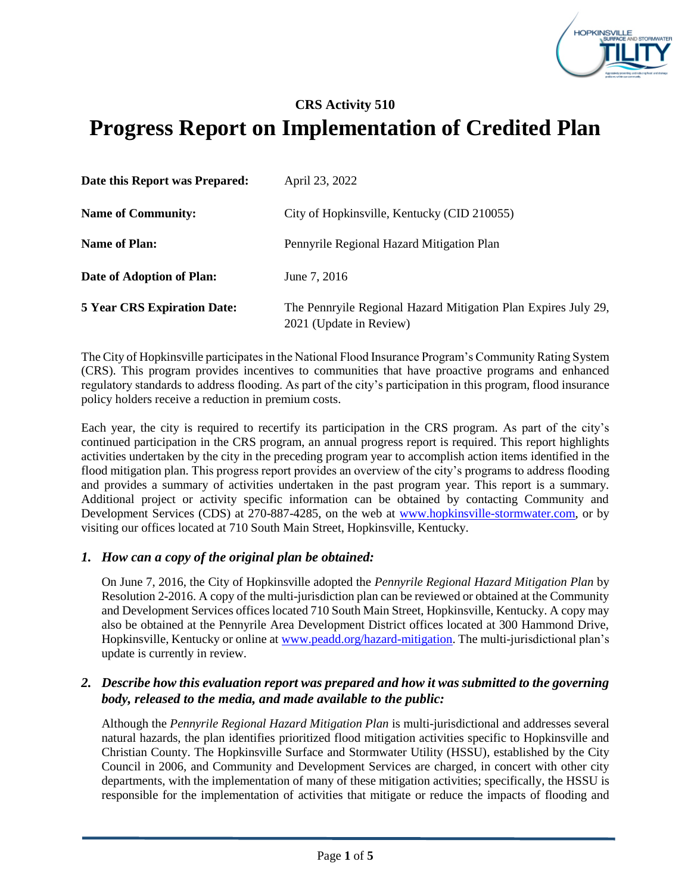

# **CRS Activity 510 Progress Report on Implementation of Credited Plan**

| Date this Report was Prepared:     | April 23, 2022                                                                            |
|------------------------------------|-------------------------------------------------------------------------------------------|
| <b>Name of Community:</b>          | City of Hopkinsville, Kentucky (CID 210055)                                               |
| <b>Name of Plan:</b>               | Pennyrile Regional Hazard Mitigation Plan                                                 |
| Date of Adoption of Plan:          | June 7, 2016                                                                              |
| <b>5 Year CRS Expiration Date:</b> | The Pennryile Regional Hazard Mitigation Plan Expires July 29,<br>2021 (Update in Review) |

The City of Hopkinsville participates in the National Flood Insurance Program's Community Rating System (CRS). This program provides incentives to communities that have proactive programs and enhanced regulatory standards to address flooding. As part of the city's participation in this program, flood insurance policy holders receive a reduction in premium costs.

Each year, the city is required to recertify its participation in the CRS program. As part of the city's continued participation in the CRS program, an annual progress report is required. This report highlights activities undertaken by the city in the preceding program year to accomplish action items identified in the flood mitigation plan. This progress report provides an overview of the city's programs to address flooding and provides a summary of activities undertaken in the past program year. This report is a summary. Additional project or activity specific information can be obtained by contacting Community and Development Services (CDS) at 270-887-4285, on the web at [www.hopkinsville-stormwater.com,](http://www.hopkinsville-stormwater.com/) or by visiting our offices located at 710 South Main Street, Hopkinsville, Kentucky.

### *1. How can a copy of the original plan be obtained:*

On June 7, 2016, the City of Hopkinsville adopted the *Pennyrile Regional Hazard Mitigation Plan* by Resolution 2-2016. A copy of the multi-jurisdiction plan can be reviewed or obtained at the Community and Development Services offices located 710 South Main Street, Hopkinsville, Kentucky. A copy may also be obtained at the Pennyrile Area Development District offices located at 300 Hammond Drive, Hopkinsville, Kentucky or online at [www.peadd.org/hazard-mitigation.](http://www.peadd.org/hazard-mitigation) The multi-jurisdictional plan's update is currently in review.

### *2. Describe how this evaluation report was prepared and how it was submitted to the governing body, released to the media, and made available to the public:*

Although the *Pennyrile Regional Hazard Mitigation Plan* is multi-jurisdictional and addresses several natural hazards, the plan identifies prioritized flood mitigation activities specific to Hopkinsville and Christian County. The Hopkinsville Surface and Stormwater Utility (HSSU), established by the City Council in 2006, and Community and Development Services are charged, in concert with other city departments, with the implementation of many of these mitigation activities; specifically, the HSSU is responsible for the implementation of activities that mitigate or reduce the impacts of flooding and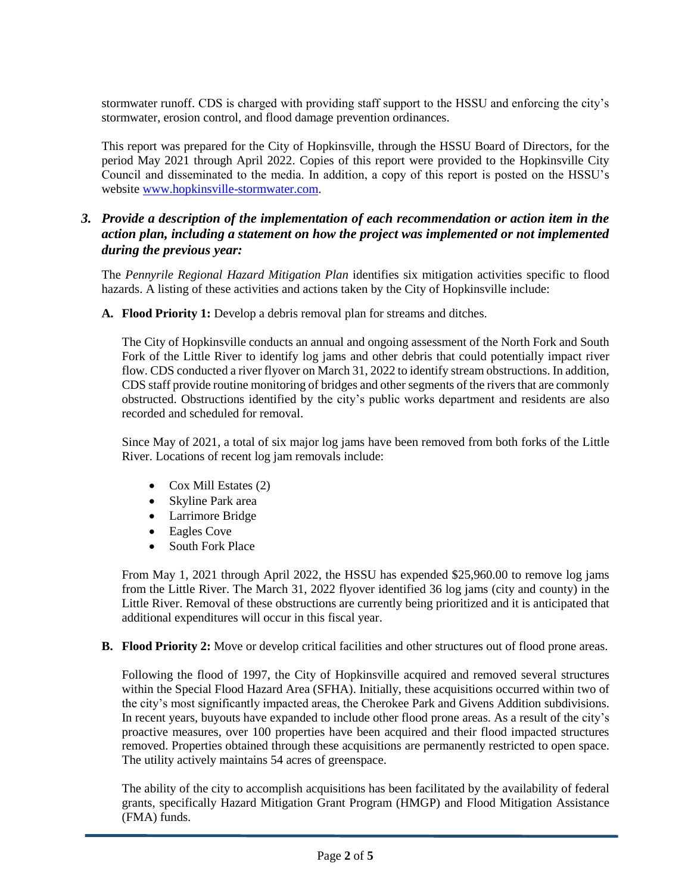stormwater runoff. CDS is charged with providing staff support to the HSSU and enforcing the city's stormwater, erosion control, and flood damage prevention ordinances.

This report was prepared for the City of Hopkinsville, through the HSSU Board of Directors, for the period May 2021 through April 2022. Copies of this report were provided to the Hopkinsville City Council and disseminated to the media. In addition, a copy of this report is posted on the HSSU's website [www.hopkinsville-stormwater.com.](http://www.hopkinsville-stormwater.com/)

### *3. Provide a description of the implementation of each recommendation or action item in the action plan, including a statement on how the project was implemented or not implemented during the previous year:*

The *Pennyrile Regional Hazard Mitigation Plan* identifies six mitigation activities specific to flood hazards. A listing of these activities and actions taken by the City of Hopkinsville include:

**A. Flood Priority 1:** Develop a debris removal plan for streams and ditches.

The City of Hopkinsville conducts an annual and ongoing assessment of the North Fork and South Fork of the Little River to identify log jams and other debris that could potentially impact river flow. CDS conducted a river flyover on March 31, 2022 to identify stream obstructions. In addition, CDS staff provide routine monitoring of bridges and other segments of the rivers that are commonly obstructed. Obstructions identified by the city's public works department and residents are also recorded and scheduled for removal.

Since May of 2021, a total of six major log jams have been removed from both forks of the Little River. Locations of recent log jam removals include:

- Cox Mill Estates (2)
- Skyline Park area
- Larrimore Bridge
- Eagles Cove
- South Fork Place

From May 1, 2021 through April 2022, the HSSU has expended \$25,960.00 to remove log jams from the Little River. The March 31, 2022 flyover identified 36 log jams (city and county) in the Little River. Removal of these obstructions are currently being prioritized and it is anticipated that additional expenditures will occur in this fiscal year.

**B. Flood Priority 2:** Move or develop critical facilities and other structures out of flood prone areas.

Following the flood of 1997, the City of Hopkinsville acquired and removed several structures within the Special Flood Hazard Area (SFHA). Initially, these acquisitions occurred within two of the city's most significantly impacted areas, the Cherokee Park and Givens Addition subdivisions. In recent years, buyouts have expanded to include other flood prone areas. As a result of the city's proactive measures, over 100 properties have been acquired and their flood impacted structures removed. Properties obtained through these acquisitions are permanently restricted to open space. The utility actively maintains 54 acres of greenspace.

The ability of the city to accomplish acquisitions has been facilitated by the availability of federal grants, specifically Hazard Mitigation Grant Program (HMGP) and Flood Mitigation Assistance (FMA) funds.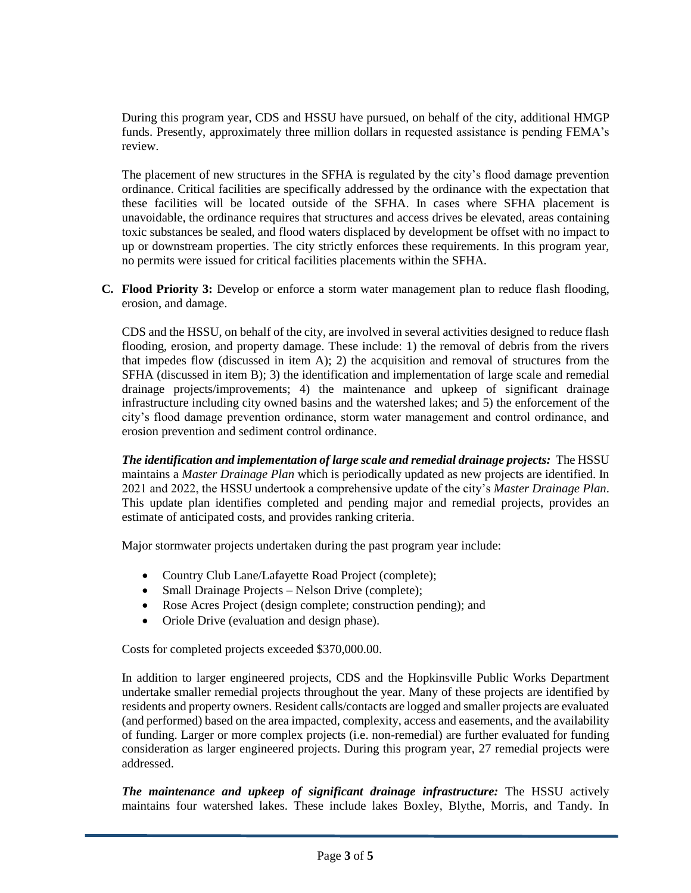During this program year, CDS and HSSU have pursued, on behalf of the city, additional HMGP funds. Presently, approximately three million dollars in requested assistance is pending FEMA's review.

The placement of new structures in the SFHA is regulated by the city's flood damage prevention ordinance. Critical facilities are specifically addressed by the ordinance with the expectation that these facilities will be located outside of the SFHA. In cases where SFHA placement is unavoidable, the ordinance requires that structures and access drives be elevated, areas containing toxic substances be sealed, and flood waters displaced by development be offset with no impact to up or downstream properties. The city strictly enforces these requirements. In this program year, no permits were issued for critical facilities placements within the SFHA.

**C. Flood Priority 3:** Develop or enforce a storm water management plan to reduce flash flooding, erosion, and damage.

CDS and the HSSU, on behalf of the city, are involved in several activities designed to reduce flash flooding, erosion, and property damage. These include: 1) the removal of debris from the rivers that impedes flow (discussed in item A); 2) the acquisition and removal of structures from the SFHA (discussed in item B); 3) the identification and implementation of large scale and remedial drainage projects/improvements; 4) the maintenance and upkeep of significant drainage infrastructure including city owned basins and the watershed lakes; and 5) the enforcement of the city's flood damage prevention ordinance, storm water management and control ordinance, and erosion prevention and sediment control ordinance.

*The identification and implementation of large scale and remedial drainage projects:* The HSSU maintains a *Master Drainage Plan* which is periodically updated as new projects are identified. In 2021 and 2022, the HSSU undertook a comprehensive update of the city's *Master Drainage Plan*. This update plan identifies completed and pending major and remedial projects, provides an estimate of anticipated costs, and provides ranking criteria.

Major stormwater projects undertaken during the past program year include:

- Country Club Lane/Lafayette Road Project (complete);
- Small Drainage Projects Nelson Drive (complete);
- Rose Acres Project (design complete; construction pending); and
- Oriole Drive (evaluation and design phase).

Costs for completed projects exceeded \$370,000.00.

In addition to larger engineered projects, CDS and the Hopkinsville Public Works Department undertake smaller remedial projects throughout the year. Many of these projects are identified by residents and property owners. Resident calls/contacts are logged and smaller projects are evaluated (and performed) based on the area impacted, complexity, access and easements, and the availability of funding. Larger or more complex projects (i.e. non-remedial) are further evaluated for funding consideration as larger engineered projects. During this program year, 27 remedial projects were addressed.

*The maintenance and upkeep of significant drainage infrastructure:* The HSSU actively maintains four watershed lakes. These include lakes Boxley, Blythe, Morris, and Tandy. In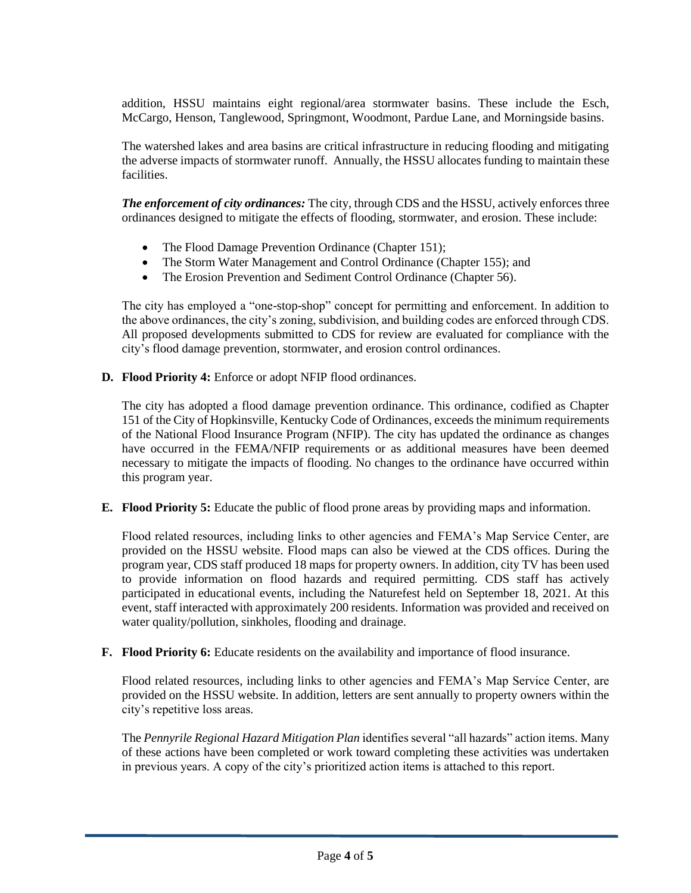addition, HSSU maintains eight regional/area stormwater basins. These include the Esch, McCargo, Henson, Tanglewood, Springmont, Woodmont, Pardue Lane, and Morningside basins.

The watershed lakes and area basins are critical infrastructure in reducing flooding and mitigating the adverse impacts of stormwater runoff.Annually, the HSSU allocates funding to maintain these facilities.

*The enforcement of city ordinances:* The city, through CDS and the HSSU, actively enforces three ordinances designed to mitigate the effects of flooding, stormwater, and erosion. These include:

- The Flood Damage Prevention Ordinance (Chapter 151);
- The Storm Water Management and Control Ordinance (Chapter 155); and
- The Erosion Prevention and Sediment Control Ordinance (Chapter 56).

The city has employed a "one-stop-shop" concept for permitting and enforcement. In addition to the above ordinances, the city's zoning, subdivision, and building codes are enforced through CDS. All proposed developments submitted to CDS for review are evaluated for compliance with the city's flood damage prevention, stormwater, and erosion control ordinances.

**D. Flood Priority 4:** Enforce or adopt NFIP flood ordinances.

The city has adopted a flood damage prevention ordinance. This ordinance, codified as Chapter 151 of the City of Hopkinsville, Kentucky Code of Ordinances, exceeds the minimum requirements of the National Flood Insurance Program (NFIP). The city has updated the ordinance as changes have occurred in the FEMA/NFIP requirements or as additional measures have been deemed necessary to mitigate the impacts of flooding. No changes to the ordinance have occurred within this program year.

**E. Flood Priority 5:** Educate the public of flood prone areas by providing maps and information.

Flood related resources, including links to other agencies and FEMA's Map Service Center, are provided on the HSSU website. Flood maps can also be viewed at the CDS offices. During the program year, CDS staff produced 18 maps for property owners. In addition, city TV has been used to provide information on flood hazards and required permitting. CDS staff has actively participated in educational events, including the Naturefest held on September 18, 2021. At this event, staff interacted with approximately 200 residents. Information was provided and received on water quality/pollution, sinkholes, flooding and drainage.

**F.** Flood Priority 6: Educate residents on the availability and importance of flood insurance.

Flood related resources, including links to other agencies and FEMA's Map Service Center, are provided on the HSSU website. In addition, letters are sent annually to property owners within the city's repetitive loss areas.

The *Pennyrile Regional Hazard Mitigation Plan* identifies several "all hazards" action items. Many of these actions have been completed or work toward completing these activities was undertaken in previous years. A copy of the city's prioritized action items is attached to this report.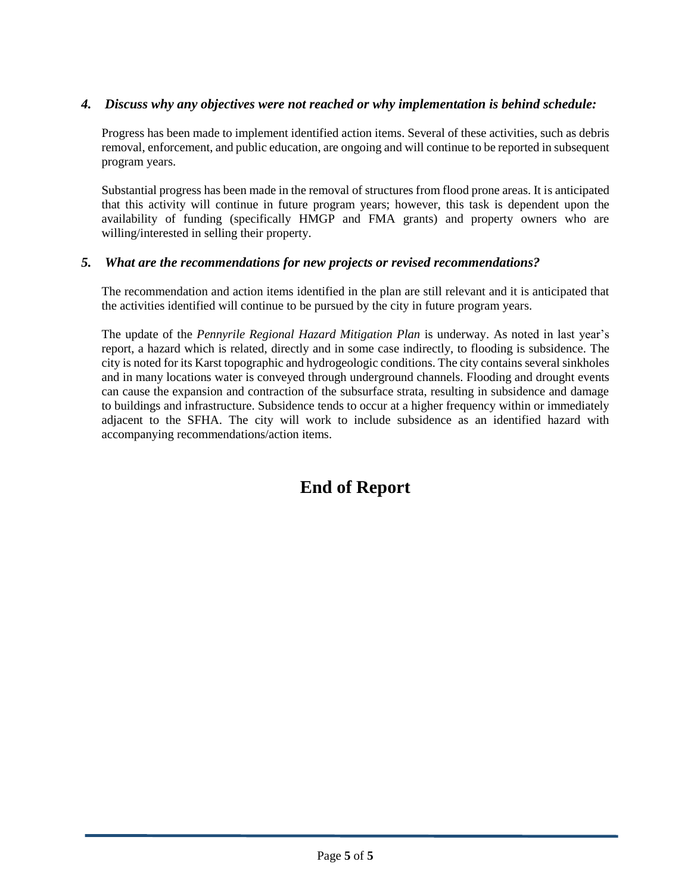# *4. Discuss why any objectives were not reached or why implementation is behind schedule:*

Progress has been made to implement identified action items. Several of these activities, such as debris removal, enforcement, and public education, are ongoing and will continue to be reported in subsequent program years.

Substantial progress has been made in the removal of structures from flood prone areas. It is anticipated that this activity will continue in future program years; however, this task is dependent upon the availability of funding (specifically HMGP and FMA grants) and property owners who are willing/interested in selling their property.

## *5. What are the recommendations for new projects or revised recommendations?*

The recommendation and action items identified in the plan are still relevant and it is anticipated that the activities identified will continue to be pursued by the city in future program years.

The update of the *Pennyrile Regional Hazard Mitigation Plan* is underway. As noted in last year's report, a hazard which is related, directly and in some case indirectly, to flooding is subsidence. The city is noted for its Karst topographic and hydrogeologic conditions. The city contains several sinkholes and in many locations water is conveyed through underground channels. Flooding and drought events can cause the expansion and contraction of the subsurface strata, resulting in subsidence and damage to buildings and infrastructure. Subsidence tends to occur at a higher frequency within or immediately adjacent to the SFHA. The city will work to include subsidence as an identified hazard with accompanying recommendations/action items.

# **End of Report**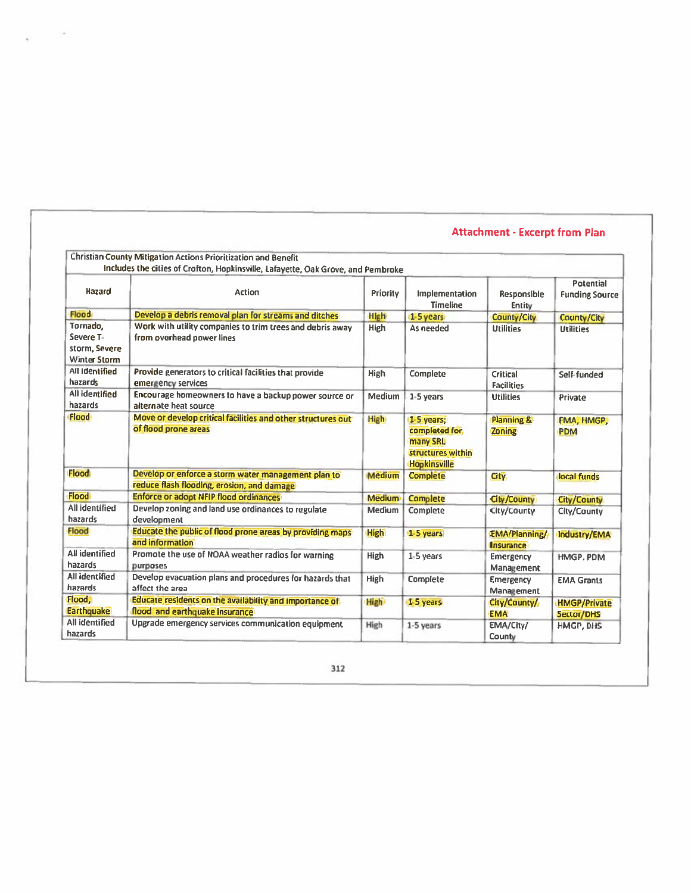|                                                               | <b>Christian County Mitigation Actions Prioritization and Benefit</b><br>Includes the cities of Crofton, Hopkinsville, Lafayette, Oak Grove, and Pembroke |               |                                                                                     |                                          |                                           |
|---------------------------------------------------------------|-----------------------------------------------------------------------------------------------------------------------------------------------------------|---------------|-------------------------------------------------------------------------------------|------------------------------------------|-------------------------------------------|
| <b>Hazard</b>                                                 | Action                                                                                                                                                    | Priority      | Implementation<br><b>Timeline</b>                                                   | Responsible<br>Entity                    | <b>Potential</b><br><b>Funding Source</b> |
| <b>Flood</b>                                                  | Develop a debris removal plan for streams and ditches                                                                                                     | <b>High</b>   | 1-5 years                                                                           | <b>County/City</b>                       | <b>County/City</b>                        |
| Tornado,<br>Severe T-<br>storm, Severe<br><b>Winter Storm</b> | Work with utility companies to trim trees and debris away<br>from overhead power lines                                                                    | High          | As needed                                                                           | <b>Utilities</b>                         | <b>Utilities</b>                          |
| All identified<br>hazards                                     | Provide generators to critical facilities that provide<br>emergency services                                                                              | <b>High</b>   | Complete                                                                            | Critical<br><b>Facilities</b>            | Self-funded                               |
| <b>All identified</b><br>hazards                              | Encourage homeowners to have a backup power source or<br>alternate heat source                                                                            | <b>Medium</b> | 1-5 years                                                                           | <b>Utilities</b>                         | Private                                   |
| <b>Flood</b>                                                  | Move or develop critical facilities and other structures out<br>of flood prone areas:                                                                     | <b>High</b>   | 1-5 years:<br>completed for<br>many SRL<br>structures within<br><b>Hopkinsville</b> | <b>Planning &amp;</b><br>Zoning          | FMA, HMGP,<br><b>PDM</b>                  |
| Flood                                                         | Develop or enforce a storm water management plan to<br>reduce flash flooding, erosion, and damage                                                         | <b>Medium</b> | <b>Complete</b>                                                                     | City.                                    | local funds                               |
| Flood                                                         | <b>Enforce or adopt NFIP flood ordinances</b>                                                                                                             | <b>Medium</b> | <b>Complete</b>                                                                     | City/County                              | <b>City/County</b>                        |
| <b>All identified</b><br>hazards                              | Develop zoning and land use ordinances to regulate<br>development                                                                                         | Medium        | Complete                                                                            | City/County                              | City/County                               |
| Flood                                                         | Educate the public of flood prone areas by providing maps<br>and information                                                                              | <b>High</b>   | 1-5 years                                                                           | <b>EMA/Planning/</b><br><b>Insurance</b> | Industry/EMA                              |
| <b>All identified</b><br>hazards                              | Promote the use of NOAA weather radios for warning<br>purposes                                                                                            | <b>High</b>   | 1-5 years                                                                           | <b>Emergency</b><br>Management           | HMGP. PDM                                 |
| All identified<br>hazards.                                    | Develop evacuation plans and procedures for hazards that<br>affect the area                                                                               | High          | Complete                                                                            | Emergency<br>Management                  | <b>EMA Grants</b>                         |
| Flood,<br><b>Earthquake</b>                                   | Educate residents on the availability and importance of<br>flood and earthquake insurance                                                                 | <b>High</b>   | 1-5 years                                                                           | City/County/<br><b>EMA</b>               | <b>HMGP/Private</b><br>Sector/DHS         |
| All identified<br>hazards                                     | Upgrade emergency services communication equipment                                                                                                        | High          | 1-5 years                                                                           | EMA/City/<br>County                      | HMGP, DHS                                 |

 $\mathcal{L} \subset \mathbb{R}^{n \times n}$ 

k.

# **Attachment - Excerpt from Plan**

312